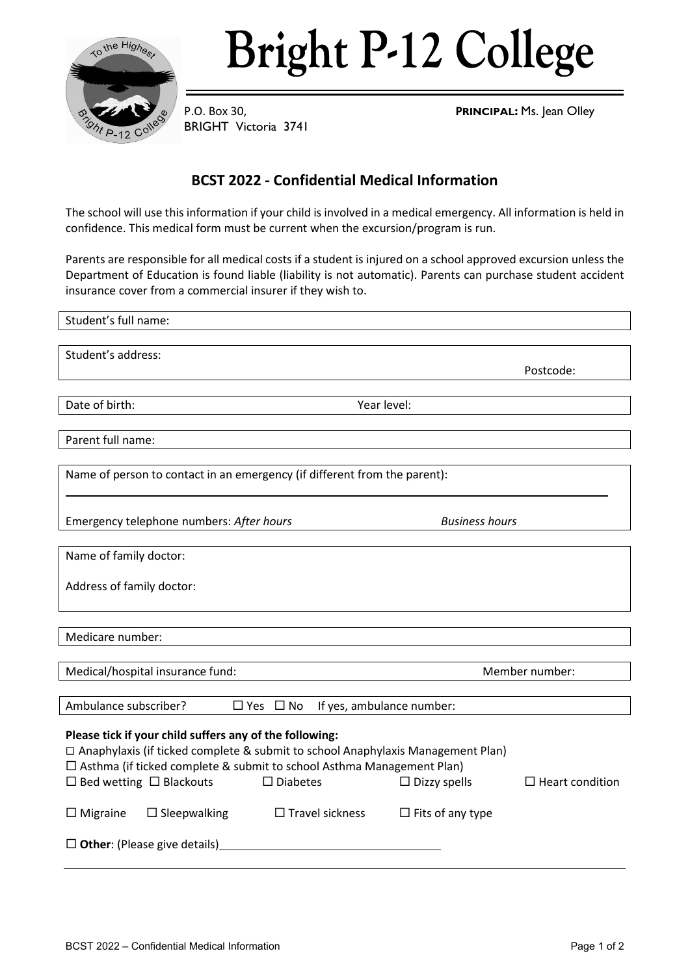

# **Bright P-12 College**

BRIGHT Victoria 3741

P.O. Box 30, **PRINCIPAL:** Ms. Jean Olley

## **BCST 2022 - Confidential Medical Information**

The school will use this information if your child is involved in a medical emergency. All information is held in confidence. This medical form must be current when the excursion/program is run.

Parents are responsible for all medical costs if a student is injured on a school approved excursion unless the Department of Education is found liable (liability is not automatic). Parents can purchase student accident insurance cover from a commercial insurer if they wish to.

| Student's full name:                                                              |                                                   |                         |                        |  |  |
|-----------------------------------------------------------------------------------|---------------------------------------------------|-------------------------|------------------------|--|--|
|                                                                                   |                                                   |                         |                        |  |  |
| Student's address:                                                                |                                                   |                         |                        |  |  |
|                                                                                   |                                                   |                         | Postcode:              |  |  |
|                                                                                   |                                                   |                         |                        |  |  |
| Date of birth:<br>Year level:                                                     |                                                   |                         |                        |  |  |
|                                                                                   |                                                   |                         |                        |  |  |
| Parent full name:                                                                 |                                                   |                         |                        |  |  |
|                                                                                   |                                                   |                         |                        |  |  |
| Name of person to contact in an emergency (if different from the parent):         |                                                   |                         |                        |  |  |
|                                                                                   |                                                   |                         |                        |  |  |
|                                                                                   |                                                   |                         |                        |  |  |
| Emergency telephone numbers: After hours                                          |                                                   | <b>Business hours</b>   |                        |  |  |
|                                                                                   |                                                   |                         |                        |  |  |
| Name of family doctor:                                                            |                                                   |                         |                        |  |  |
|                                                                                   |                                                   |                         |                        |  |  |
| Address of family doctor:                                                         |                                                   |                         |                        |  |  |
|                                                                                   |                                                   |                         |                        |  |  |
|                                                                                   |                                                   |                         |                        |  |  |
| Medicare number:                                                                  |                                                   |                         |                        |  |  |
|                                                                                   |                                                   |                         |                        |  |  |
| Medical/hospital insurance fund:                                                  |                                                   | Member number:          |                        |  |  |
|                                                                                   |                                                   |                         |                        |  |  |
| Ambulance subscriber?                                                             | $\Box$ Yes $\Box$ No<br>If yes, ambulance number: |                         |                        |  |  |
|                                                                                   |                                                   |                         |                        |  |  |
| Please tick if your child suffers any of the following:                           |                                                   |                         |                        |  |  |
| □ Anaphylaxis (if ticked complete & submit to school Anaphylaxis Management Plan) |                                                   |                         |                        |  |  |
| $\Box$ Asthma (if ticked complete & submit to school Asthma Management Plan)      |                                                   |                         |                        |  |  |
| $\Box$ Bed wetting $\Box$ Blackouts                                               | $\square$ Diabetes                                | $\Box$ Dizzy spells     | $\Box$ Heart condition |  |  |
|                                                                                   |                                                   |                         |                        |  |  |
| $\square$ Sleepwalking<br>$\Box$ Migraine                                         | $\Box$ Travel sickness                            | $\Box$ Fits of any type |                        |  |  |
|                                                                                   |                                                   |                         |                        |  |  |
| $\Box$ Other: (Please give details)                                               |                                                   |                         |                        |  |  |
|                                                                                   |                                                   |                         |                        |  |  |